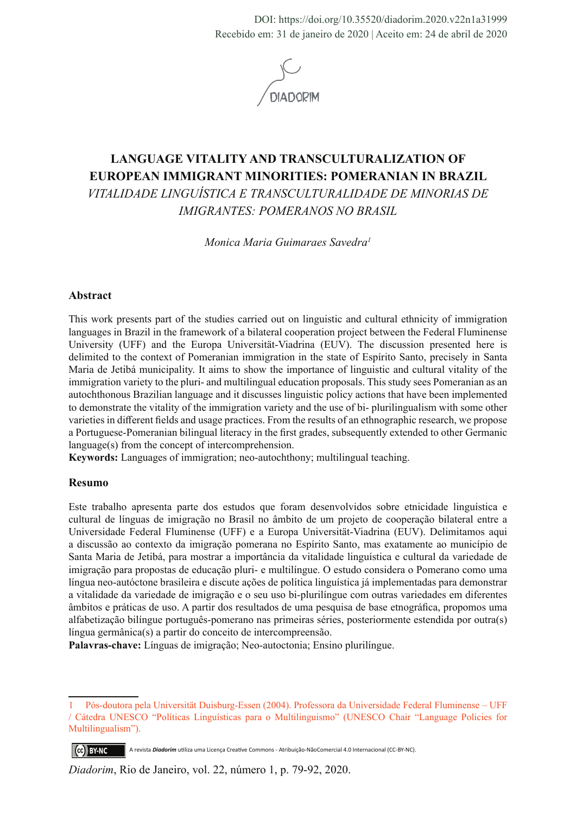DOI: https://doi.org/10.35520/diadorim.2020.v22n1a31999 Recebido em: 31 de janeiro de 2020 | Aceito em: 24 de abril de 2020



# **LANGUAGE VITALITY AND TRANSCULTURALIZATION OF EUROPEAN IMMIGRANT MINORITIES: POMERANIAN IN BRAZIL**  *VITALIDADE LINGUÍSTICA E TRANSCULTURALIDADE DE MINORIAS DE IMIGRANTES: POMERANOS NO BRASIL*

*Monica Maria Guimaraes Savedra1*

#### **Abstract**

This work presents part of the studies carried out on linguistic and cultural ethnicity of immigration languages in Brazil in the framework of a bilateral cooperation project between the Federal Fluminense University (UFF) and the Europa Universität-Viadrina (EUV). The discussion presented here is delimited to the context of Pomeranian immigration in the state of Espírito Santo, precisely in Santa Maria de Jetibá municipality. It aims to show the importance of linguistic and cultural vitality of the immigration variety to the pluri- and multilingual education proposals. This study sees Pomeranian as an autochthonous Brazilian language and it discusses linguistic policy actions that have been implemented to demonstrate the vitality of the immigration variety and the use of bi- plurilingualism with some other varieties in different fields and usage practices. From the results of an ethnographic research, we propose a Portuguese-Pomeranian bilingual literacy in the first grades, subsequently extended to other Germanic language(s) from the concept of intercomprehension.

**Keywords:** Languages of immigration; neo-autochthony; multilingual teaching.

#### **Resumo**

Este trabalho apresenta parte dos estudos que foram desenvolvidos sobre etnicidade linguística e cultural de línguas de imigração no Brasil no âmbito de um projeto de cooperação bilateral entre a Universidade Federal Fluminense (UFF) e a Europa Universität-Viadrina (EUV). Delimitamos aqui a discussão ao contexto da imigração pomerana no Espírito Santo, mas exatamente ao município de Santa Maria de Jetibá, para mostrar a importância da vitalidade linguística e cultural da variedade de imigração para propostas de educação pluri- e multilíngue. O estudo considera o Pomerano como uma língua neo-autóctone brasileira e discute ações de política linguística já implementadas para demonstrar a vitalidade da variedade de imigração e o seu uso bi-plurilíngue com outras variedades em diferentes âmbitos e práticas de uso. A partir dos resultados de uma pesquisa de base etnográfica, propomos uma alfabetização bilíngue português-pomerano nas primeiras séries, posteriormente estendida por outra(s) língua germânica(s) a partir do conceito de intercompreensão.

**Palavras-chave:** Línguas de imigração; Neo-autoctonia; Ensino plurilíngue.

<sup>1</sup> Pós-doutora pela Universität Duisburg-Essen (2004). Professora da Universidade Federal Fluminense – UFF / Cátedra UNESCO "Políticas Linguísticas para o Multilinguismo" (UNESCO Chair "Language Policies for Multilingualism").

A revista *Diadorim* utiliza uma Licença Creative Commons - Atribuição-NãoComercial 4.0 Internacional (CC-BY-NC). CC BY-NC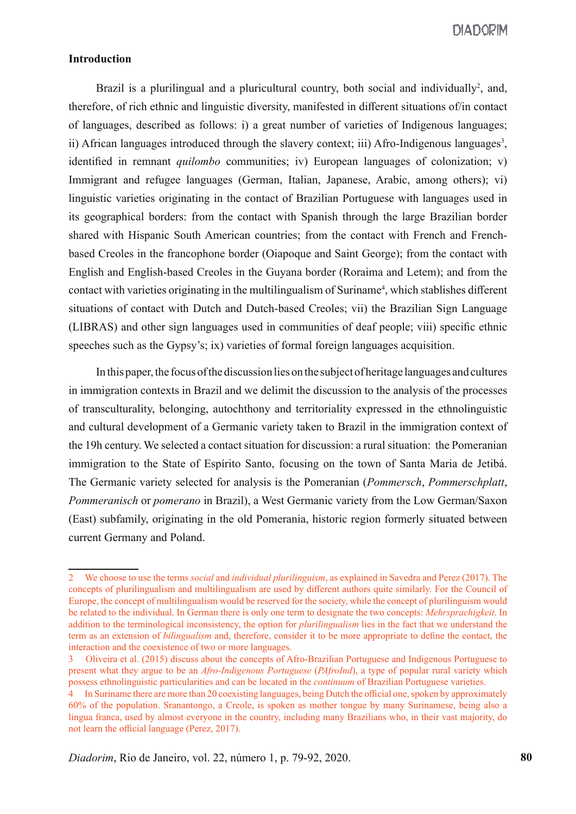**DIADORIM** 

### **Introduction**

Brazil is a plurilingual and a pluricultural country, both social and individually<sup>2</sup>, and, therefore, of rich ethnic and linguistic diversity, manifested in different situations of/in contact of languages, described as follows: i) a great number of varieties of Indigenous languages; ii) African languages introduced through the slavery context; iii) Afro-Indigenous languages<sup>3</sup>, identified in remnant *quilombo* communities; iv) European languages of colonization; v) Immigrant and refugee languages (German, Italian, Japanese, Arabic, among others); vi) linguistic varieties originating in the contact of Brazilian Portuguese with languages used in its geographical borders: from the contact with Spanish through the large Brazilian border shared with Hispanic South American countries; from the contact with French and Frenchbased Creoles in the francophone border (Oiapoque and Saint George); from the contact with English and English-based Creoles in the Guyana border (Roraima and Letem); and from the contact with varieties originating in the multilingualism of Suriname<sup>4</sup>, which stablishes different situations of contact with Dutch and Dutch-based Creoles; vii) the Brazilian Sign Language (LIBRAS) and other sign languages used in communities of deaf people; viii) specific ethnic speeches such as the Gypsy's; ix) varieties of formal foreign languages acquisition.

In this paper, the focus of the discussion lies on the subject of heritage languages and cultures in immigration contexts in Brazil and we delimit the discussion to the analysis of the processes of transculturality, belonging, autochthony and territoriality expressed in the ethnolinguistic and cultural development of a Germanic variety taken to Brazil in the immigration context of the 19h century. We selected a contact situation for discussion: a rural situation: the Pomeranian immigration to the State of Espírito Santo, focusing on the town of Santa Maria de Jetibá. The Germanic variety selected for analysis is the Pomeranian (*Pommersch*, *Pommerschplatt*, *Pommeranisch* or *pomerano* in Brazil), a West Germanic variety from the Low German/Saxon (East) subfamily, originating in the old Pomerania, historic region formerly situated between current Germany and Poland.

<sup>2</sup> We choose to use the terms *social* and *individual plurilinguism*, as explained in Savedra and Perez (2017). The concepts of plurilingualism and multilingualism are used by different authors quite similarly. For the Council of Europe, the concept of multilingualism would be reserved for the society, while the concept of plurilinguism would be related to the individual. In German there is only one term to designate the two concepts: *Mehrsprachigkeit*. In addition to the terminological inconsistency, the option for *plurilingualism* lies in the fact that we understand the term as an extension of *bilingualism* and, therefore, consider it to be more appropriate to define the contact, the interaction and the coexistence of two or more languages.

<sup>3</sup> Oliveira et al. (2015) discuss about the concepts of Afro-Brazilian Portuguese and Indigenous Portuguese to present what they argue to be an *Afro-Indigenous Portuguese* (*PAfroInd*), a type of popular rural variety which possess ethnolinguistic particularities and can be located in the *continuum* of Brazilian Portuguese varieties.

<sup>4</sup> In Suriname there are more than 20 coexisting languages, being Dutch the official one, spoken by approximately 60% of the population. Sranantongo, a Creole, is spoken as mother tongue by many Surinamese, being also a lingua franca, used by almost everyone in the country, including many Brazilians who, in their vast majority, do not learn the official language (Perez, 2017).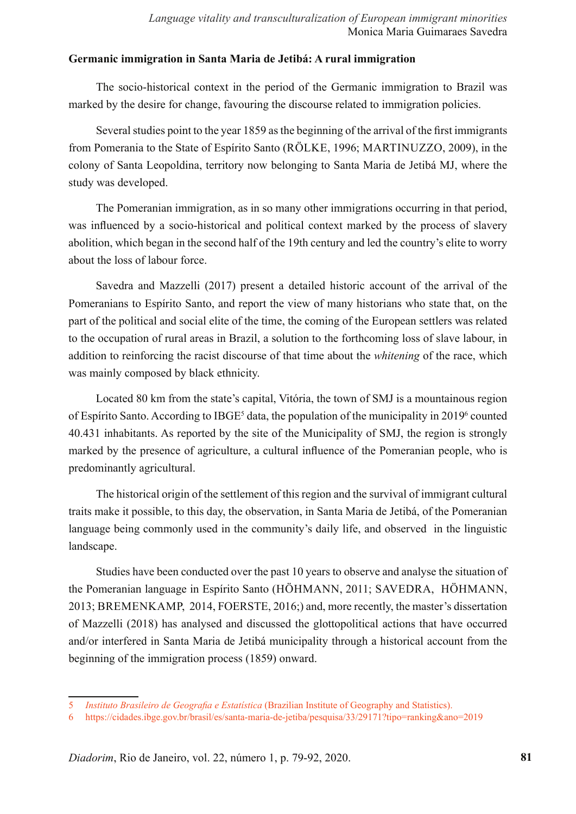### **Germanic immigration in Santa Maria de Jetibá: A rural immigration**

The socio-historical context in the period of the Germanic immigration to Brazil was marked by the desire for change, favouring the discourse related to immigration policies.

Several studies point to the year 1859 as the beginning of the arrival of the first immigrants from Pomerania to the State of Espírito Santo (RÖLKE, 1996; MARTINUZZO, 2009), in the colony of Santa Leopoldina, territory now belonging to Santa Maria de Jetibá MJ, where the study was developed.

The Pomeranian immigration, as in so many other immigrations occurring in that period, was influenced by a socio-historical and political context marked by the process of slavery abolition, which began in the second half of the 19th century and led the country's elite to worry about the loss of labour force.

Savedra and Mazzelli (2017) present a detailed historic account of the arrival of the Pomeranians to Espírito Santo, and report the view of many historians who state that, on the part of the political and social elite of the time, the coming of the European settlers was related to the occupation of rural areas in Brazil, a solution to the forthcoming loss of slave labour, in addition to reinforcing the racist discourse of that time about the *whitening* of the race, which was mainly composed by black ethnicity.

Located 80 km from the state's capital, Vitória, the town of SMJ is a mountainous region of Espírito Santo. According to IBGE<sup>5</sup> data, the population of the municipality in 2019<sup>6</sup> counted 40.431 inhabitants. As reported by the site of the Municipality of SMJ, the region is strongly marked by the presence of agriculture, a cultural influence of the Pomeranian people, who is predominantly agricultural.

The historical origin of the settlement of this region and the survival of immigrant cultural traits make it possible, to this day, the observation, in Santa Maria de Jetibá, of the Pomeranian language being commonly used in the community's daily life, and observed in the linguistic landscape.

Studies have been conducted over the past 10 years to observe and analyse the situation of the Pomeranian language in Espírito Santo (HÖHMANN, 2011; SAVEDRA, HÖHMANN, 2013; BREMENKAMP, 2014, FOERSTE, 2016;) and, more recently, the master's dissertation of Mazzelli (2018) has analysed and discussed the glottopolitical actions that have occurred and/or interfered in Santa Maria de Jetibá municipality through a historical account from the beginning of the immigration process (1859) onward.

<sup>5</sup> *Instituto Brasileiro de Geografia e Estatística* (Brazilian Institute of Geography and Statistics).

<sup>6</sup> https://cidades.ibge.gov.br/brasil/es/santa-maria-de-jetiba/pesquisa/33/29171?tipo=ranking&ano=2019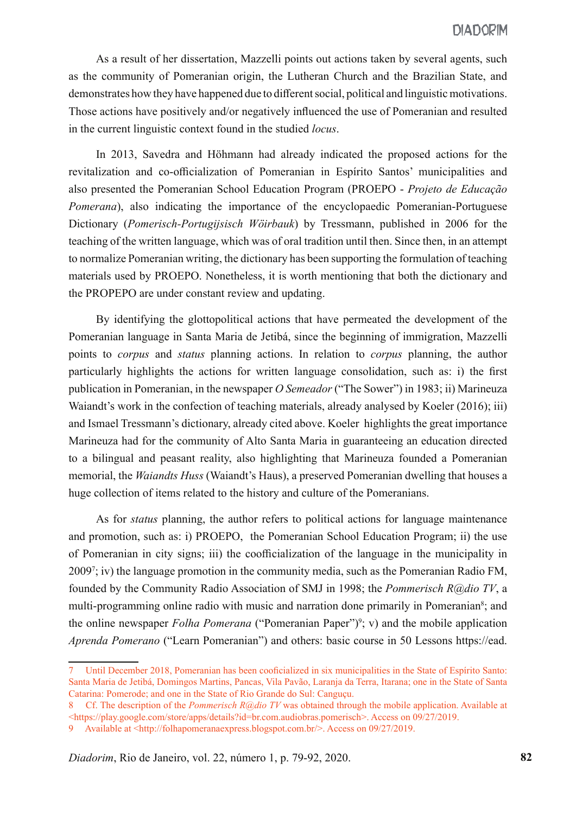As a result of her dissertation, Mazzelli points out actions taken by several agents, such as the community of Pomeranian origin, the Lutheran Church and the Brazilian State, and demonstrates how they have happened due to different social, political and linguistic motivations. Those actions have positively and/or negatively influenced the use of Pomeranian and resulted in the current linguistic context found in the studied *locus*.

In 2013, Savedra and Höhmann had already indicated the proposed actions for the revitalization and co-officialization of Pomeranian in Espírito Santos' municipalities and also presented the Pomeranian School Education Program (PROEPO - *Projeto de Educação Pomerana*), also indicating the importance of the encyclopaedic Pomeranian-Portuguese Dictionary (*Pomerisch-Portugijsisch Wöirbauk*) by Tressmann, published in 2006 for the teaching of the written language, which was of oral tradition until then. Since then, in an attempt to normalize Pomeranian writing, the dictionary has been supporting the formulation of teaching materials used by PROEPO. Nonetheless, it is worth mentioning that both the dictionary and the PROPEPO are under constant review and updating.

By identifying the glottopolitical actions that have permeated the development of the Pomeranian language in Santa Maria de Jetibá, since the beginning of immigration, Mazzelli points to *corpus* and *status* planning actions. In relation to *corpus* planning, the author particularly highlights the actions for written language consolidation, such as: i) the first publication in Pomeranian, in the newspaper *O Semeador* ("The Sower") in 1983; ii) Marineuza Waiandt's work in the confection of teaching materials, already analysed by Koeler (2016); iii) and Ismael Tressmann's dictionary, already cited above. Koeler highlights the great importance Marineuza had for the community of Alto Santa Maria in guaranteeing an education directed to a bilingual and peasant reality, also highlighting that Marineuza founded a Pomeranian memorial, the *Waiandts Huss* (Waiandt's Haus), a preserved Pomeranian dwelling that houses a huge collection of items related to the history and culture of the Pomeranians.

As for *status* planning, the author refers to political actions for language maintenance and promotion, such as: i) PROEPO, the Pomeranian School Education Program; ii) the use of Pomeranian in city signs; iii) the coofficialization of the language in the municipality in 2009<sup>7</sup>; iv) the language promotion in the community media, such as the Pomeranian Radio FM, founded by the Community Radio Association of SMJ in 1998; the *Pommerisch R@dio TV*, a multi-programming online radio with music and narration done primarily in Pomeranian<sup>8</sup>; and the online newspaper *Folha Pomerana* ("Pomeranian Paper")<sup>9</sup>; v) and the mobile application *Aprenda Pomerano* ("Learn Pomeranian") and others: basic course in 50 Lessons https://ead.

<sup>7</sup> Until December 2018, Pomeranian has been cooficialized in six municipalities in the State of Espírito Santo: Santa Maria de Jetibá, Domingos Martins, Pancas, Vila Pavão, Laranja da Terra, Itarana; one in the State of Santa Catarina: Pomerode; and one in the State of Rio Grande do Sul: Canguçu.

<sup>8</sup> Cf. The description of the *Pommerisch R@dio TV* was obtained through the mobile application. Available at <https://play.google.com/store/apps/details?id=br.com.audiobras.pomerisch>. Access on 09/27/2019.

<sup>9</sup> Available at <http://folhapomeranaexpress.blogspot.com.br/>. Access on 09/27/2019.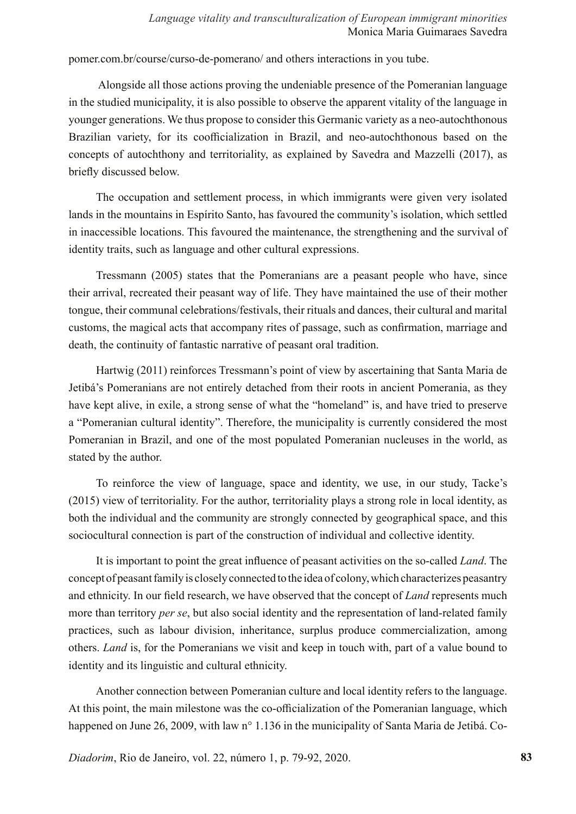pomer.com.br/course/curso-de-pomerano/ and others interactions in you tube.

 Alongside all those actions proving the undeniable presence of the Pomeranian language in the studied municipality, it is also possible to observe the apparent vitality of the language in younger generations. We thus propose to consider this Germanic variety as a neo-autochthonous Brazilian variety, for its coofficialization in Brazil, and neo-autochthonous based on the concepts of autochthony and territoriality, as explained by Savedra and Mazzelli (2017), as briefly discussed below.

The occupation and settlement process, in which immigrants were given very isolated lands in the mountains in Espírito Santo, has favoured the community's isolation, which settled in inaccessible locations. This favoured the maintenance, the strengthening and the survival of identity traits, such as language and other cultural expressions.

Tressmann (2005) states that the Pomeranians are a peasant people who have, since their arrival, recreated their peasant way of life. They have maintained the use of their mother tongue, their communal celebrations/festivals, their rituals and dances, their cultural and marital customs, the magical acts that accompany rites of passage, such as confirmation, marriage and death, the continuity of fantastic narrative of peasant oral tradition.

Hartwig (2011) reinforces Tressmann's point of view by ascertaining that Santa Maria de Jetibá's Pomeranians are not entirely detached from their roots in ancient Pomerania, as they have kept alive, in exile, a strong sense of what the "homeland" is, and have tried to preserve a "Pomeranian cultural identity". Therefore, the municipality is currently considered the most Pomeranian in Brazil, and one of the most populated Pomeranian nucleuses in the world, as stated by the author.

To reinforce the view of language, space and identity, we use, in our study, Tacke's (2015) view of territoriality. For the author, territoriality plays a strong role in local identity, as both the individual and the community are strongly connected by geographical space, and this sociocultural connection is part of the construction of individual and collective identity.

It is important to point the great influence of peasant activities on the so-called *Land*. The concept of peasant family is closely connected to the idea of colony, which characterizes peasantry and ethnicity. In our field research, we have observed that the concept of *Land* represents much more than territory *per se*, but also social identity and the representation of land-related family practices, such as labour division, inheritance, surplus produce commercialization, among others. *Land* is, for the Pomeranians we visit and keep in touch with, part of a value bound to identity and its linguistic and cultural ethnicity.

Another connection between Pomeranian culture and local identity refers to the language. At this point, the main milestone was the co-officialization of the Pomeranian language, which happened on June 26, 2009, with law n° 1.136 in the municipality of Santa Maria de Jetibá. Co-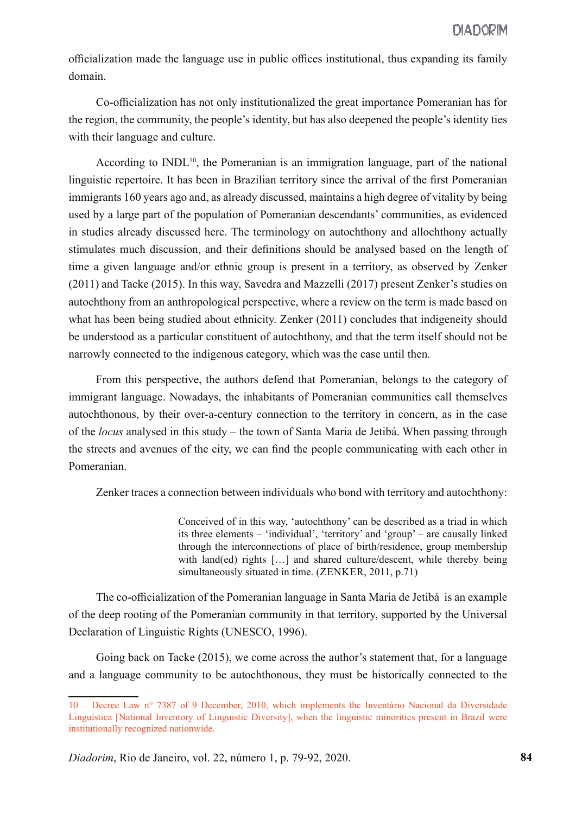officialization made the language use in public offices institutional, thus expanding its family domain.

Co-officialization has not only institutionalized the great importance Pomeranian has for the region, the community, the people's identity, but has also deepened the people's identity ties with their language and culture.

According to  $INDL<sup>10</sup>$ , the Pomeranian is an immigration language, part of the national linguistic repertoire. It has been in Brazilian territory since the arrival of the first Pomeranian immigrants 160 years ago and, as already discussed, maintains a high degree of vitality by being used by a large part of the population of Pomeranian descendants' communities, as evidenced in studies already discussed here. The terminology on autochthony and allochthony actually stimulates much discussion, and their definitions should be analysed based on the length of time a given language and/or ethnic group is present in a territory, as observed by Zenker (2011) and Tacke (2015). In this way, Savedra and Mazzelli (2017) present Zenker's studies on autochthony from an anthropological perspective, where a review on the term is made based on what has been being studied about ethnicity. Zenker (2011) concludes that indigeneity should be understood as a particular constituent of autochthony, and that the term itself should not be narrowly connected to the indigenous category, which was the case until then.

From this perspective, the authors defend that Pomeranian, belongs to the category of immigrant language. Nowadays, the inhabitants of Pomeranian communities call themselves autochthonous, by their over-a-century connection to the territory in concern, as in the case of the *locus* analysed in this study – the town of Santa Maria de Jetibá. When passing through the streets and avenues of the city, we can find the people communicating with each other in Pomeranian.

Zenker traces a connection between individuals who bond with territory and autochthony:

Conceived of in this way, 'autochthony' can be described as a triad in which its three elements – 'individual', 'territory' and 'group' – are causally linked through the interconnections of place of birth/residence, group membership with land(ed) rights [...] and shared culture/descent, while thereby being simultaneously situated in time. (ZENKER, 2011, p.71)

The co-officialization of the Pomeranian language in Santa Maria de Jetibá is an example of the deep rooting of the Pomeranian community in that territory, supported by the Universal Declaration of Linguistic Rights (UNESCO, 1996).

Going back on Tacke (2015), we come across the author's statement that, for a language and a language community to be autochthonous, they must be historically connected to the

<sup>10</sup> Decree Law n° 7387 of 9 December, 2010, which implements the Inventário Nacional da Diversidade Linguística [National Inventory of Linguistic Diversity], when the linguistic minorities present in Brazil were institutionally recognized nationwide.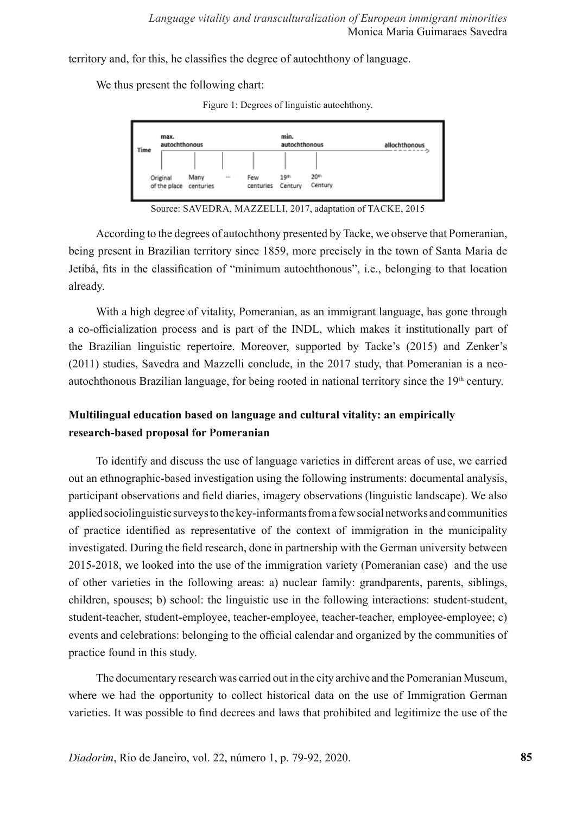territory and, for this, he classifies the degree of autochthony of language.

We thus present the following chart:





Source: SAVEDRA, MAZZELLI, 2017, adaptation of TACKE, 2015

According to the degrees of autochthony presented by Tacke, we observe that Pomeranian, being present in Brazilian territory since 1859, more precisely in the town of Santa Maria de Jetibá, fits in the classification of "minimum autochthonous", i.e., belonging to that location already.

With a high degree of vitality, Pomeranian, as an immigrant language, has gone through a co-officialization process and is part of the INDL, which makes it institutionally part of the Brazilian linguistic repertoire. Moreover, supported by Tacke's (2015) and Zenker's (2011) studies, Savedra and Mazzelli conclude, in the 2017 study, that Pomeranian is a neoautochthonous Brazilian language, for being rooted in national territory since the  $19<sup>th</sup>$  century.

## **Multilingual education based on language and cultural vitality: an empirically research-based proposal for Pomeranian**

To identify and discuss the use of language varieties in different areas of use, we carried out an ethnographic-based investigation using the following instruments: documental analysis, participant observations and field diaries, imagery observations (linguistic landscape). We also applied sociolinguistic surveys to the key-informants from a few social networks and communities of practice identified as representative of the context of immigration in the municipality investigated. During the field research, done in partnership with the German university between 2015-2018, we looked into the use of the immigration variety (Pomeranian case) and the use of other varieties in the following areas: a) nuclear family: grandparents, parents, siblings, children, spouses; b) school: the linguistic use in the following interactions: student-student, student-teacher, student-employee, teacher-employee, teacher-teacher, employee-employee; c) events and celebrations: belonging to the official calendar and organized by the communities of practice found in this study.

The documentary research was carried out in the city archive and the Pomeranian Museum, where we had the opportunity to collect historical data on the use of Immigration German varieties. It was possible to find decrees and laws that prohibited and legitimize the use of the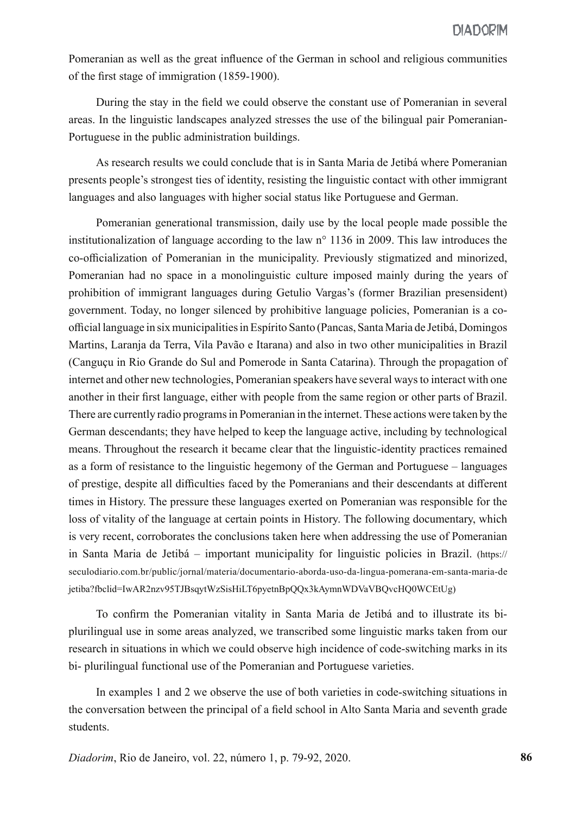Pomeranian as well as the great influence of the German in school and religious communities of the first stage of immigration (1859-1900).

During the stay in the field we could observe the constant use of Pomeranian in several areas. In the linguistic landscapes analyzed stresses the use of the bilingual pair Pomeranian-Portuguese in the public administration buildings.

As research results we could conclude that is in Santa Maria de Jetibá where Pomeranian presents people's strongest ties of identity, resisting the linguistic contact with other immigrant languages and also languages with higher social status like Portuguese and German.

Pomeranian generational transmission, daily use by the local people made possible the institutionalization of language according to the law n° 1136 in 2009. This law introduces the co-officialization of Pomeranian in the municipality. Previously stigmatized and minorized, Pomeranian had no space in a monolinguistic culture imposed mainly during the years of prohibition of immigrant languages during Getulio Vargas's (former Brazilian presensident) government. Today, no longer silenced by prohibitive language policies, Pomeranian is a coofficial language in six municipalities in Espírito Santo (Pancas, Santa Maria de Jetibá, Domingos Martins, Laranja da Terra, Vila Pavão e Itarana) and also in two other municipalities in Brazil (Canguçu in Rio Grande do Sul and Pomerode in Santa Catarina). Through the propagation of internet and other new technologies, Pomeranian speakers have several ways to interact with one another in their first language, either with people from the same region or other parts of Brazil. There are currently radio programs in Pomeranian in the internet. These actions were taken by the German descendants; they have helped to keep the language active, including by technological means. Throughout the research it became clear that the linguistic-identity practices remained as a form of resistance to the linguistic hegemony of the German and Portuguese – languages of prestige, despite all difficulties faced by the Pomeranians and their descendants at different times in History. The pressure these languages exerted on Pomeranian was responsible for the loss of vitality of the language at certain points in History. The following documentary, which is very recent, corroborates the conclusions taken here when addressing the use of Pomeranian in Santa Maria de Jetibá – important municipality for linguistic policies in Brazil. (https:// seculodiario.com.br/public/jornal/materia/documentario-aborda-uso-da-lingua-pomerana-em-santa-maria-de jetiba?fbclid=IwAR2nzv95TJBsqytWzSisHiLT6pyetnBpQQx3kAymnWDVaVBQvcHQ0WCEtUg)

To confirm the Pomeranian vitality in Santa Maria de Jetibá and to illustrate its biplurilingual use in some areas analyzed, we transcribed some linguistic marks taken from our research in situations in which we could observe high incidence of code-switching marks in its bi- plurilingual functional use of the Pomeranian and Portuguese varieties.

In examples 1 and 2 we observe the use of both varieties in code-switching situations in the conversation between the principal of a field school in Alto Santa Maria and seventh grade students.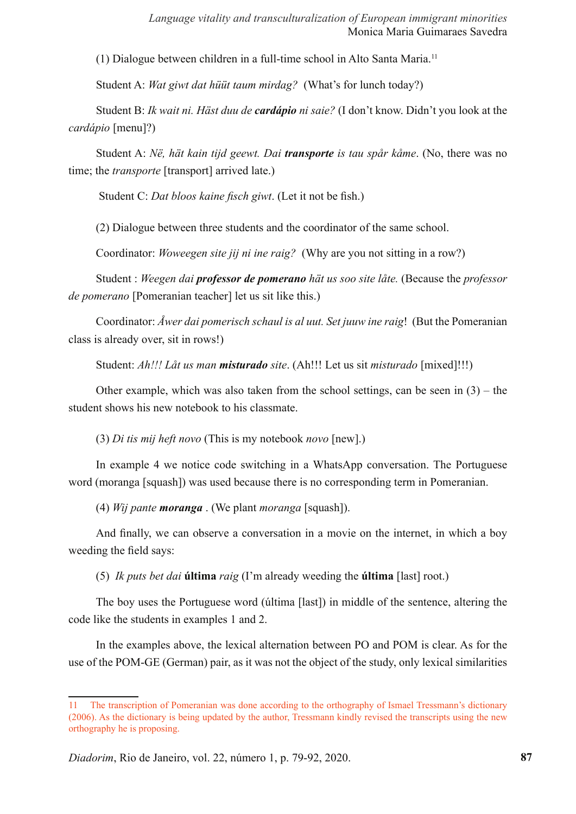(1) Dialogue between children in a full-time school in Alto Santa Maria.11

Student A: *Wat giwt dat hüüt taum mirdag?* (What's for lunch today?)

Student B: *Ik wait ni. Häst duu de cardápio ni saie?* (I don't know. Didn't you look at the *cardápio* [menu]?)

Student A: *Në, hät kain tijd geewt. Dai transporte is tau spår kåme*. (No, there was no time; the *transporte* [transport] arrived late.)

Student C: *Dat bloos kaine fisch giwt*. (Let it not be fish.)

(2) Dialogue between three students and the coordinator of the same school.

Coordinator: *Woweegen site jij ni ine raig?* (Why are you not sitting in a row?)

Student : *Weegen dai professor de pomerano hät us soo site låte.* (Because the *professor de pomerano* [Pomeranian teacher] let us sit like this.)

Coordinator: *Åwer dai pomerisch schaul is al uut. Set juuw ine raig*! (But the Pomeranian class is already over, sit in rows!)

Student: *Ah!!! Låt us man misturado site*. (Ah!!! Let us sit *misturado* [mixed]!!!)

Other example, which was also taken from the school settings, can be seen in  $(3)$  – the student shows his new notebook to his classmate.

(3) *Di tis mij heft novo* (This is my notebook *novo* [new].)

In example 4 we notice code switching in a WhatsApp conversation. The Portuguese word (moranga [squash]) was used because there is no corresponding term in Pomeranian.

(4) *Wij pante moranga* . (We plant *moranga* [squash]).

And finally, we can observe a conversation in a movie on the internet, in which a boy weeding the field says:

(5) *Ik puts bet dai* **última** *raig* (I'm already weeding the **última** [last] root.)

The boy uses the Portuguese word (última [last]) in middle of the sentence, altering the code like the students in examples 1 and 2.

In the examples above, the lexical alternation between PO and POM is clear. As for the use of the POM-GE (German) pair, as it was not the object of the study, only lexical similarities

<sup>11</sup> The transcription of Pomeranian was done according to the orthography of Ismael Tressmann's dictionary (2006). As the dictionary is being updated by the author, Tressmann kindly revised the transcripts using the new orthography he is proposing.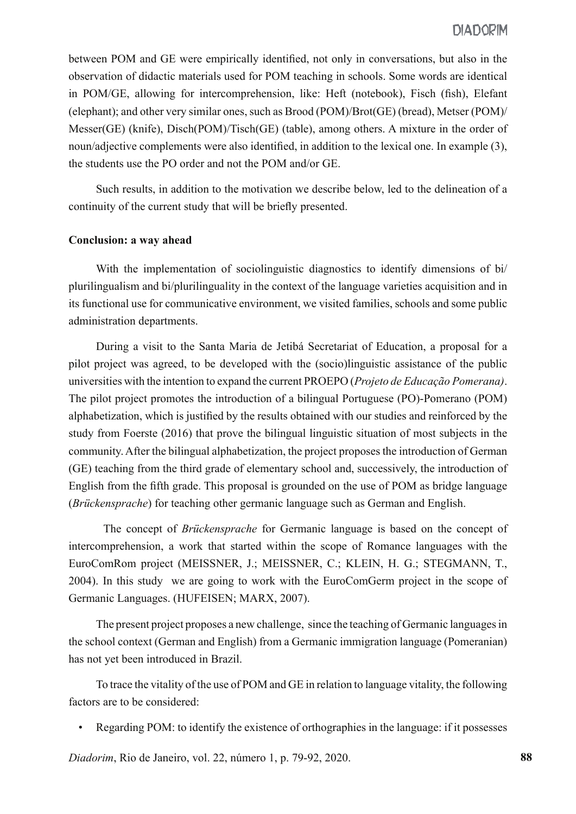between POM and GE were empirically identified, not only in conversations, but also in the observation of didactic materials used for POM teaching in schools. Some words are identical in POM/GE, allowing for intercomprehension, like: Heft (notebook), Fisch (fish), Elefant (elephant); and other very similar ones, such as Brood (POM)/Brot(GE) (bread), Metser (POM)/ Messer(GE) (knife), Disch(POM)/Tisch(GE) (table), among others. A mixture in the order of noun/adjective complements were also identified, in addition to the lexical one. In example (3), the students use the PO order and not the POM and/or GE.

Such results, in addition to the motivation we describe below, led to the delineation of a continuity of the current study that will be briefly presented.

#### **Conclusion: a way ahead**

With the implementation of sociolinguistic diagnostics to identify dimensions of bi/ plurilingualism and bi/plurilinguality in the context of the language varieties acquisition and in its functional use for communicative environment, we visited families, schools and some public administration departments.

During a visit to the Santa Maria de Jetibá Secretariat of Education, a proposal for a pilot project was agreed, to be developed with the (socio)linguistic assistance of the public universities with the intention to expand the current PROEPO (*Projeto de Educação Pomerana)*. The pilot project promotes the introduction of a bilingual Portuguese (PO)-Pomerano (POM) alphabetization, which is justified by the results obtained with our studies and reinforced by the study from Foerste (2016) that prove the bilingual linguistic situation of most subjects in the community. After the bilingual alphabetization, the project proposes the introduction of German (GE) teaching from the third grade of elementary school and, successively, the introduction of English from the fifth grade. This proposal is grounded on the use of POM as bridge language (*Brückensprache*) for teaching other germanic language such as German and English.

The concept of *Brückensprache* for Germanic language is based on the concept of intercomprehension, a work that started within the scope of Romance languages with the EuroComRom project (MEISSNER, J.; MEISSNER, C.; KLEIN, H. G.; STEGMANN, T., 2004). In this study we are going to work with the EuroComGerm project in the scope of Germanic Languages. (HUFEISEN; MARX, 2007).

The present project proposes a new challenge, since the teaching of Germanic languages in the school context (German and English) from a Germanic immigration language (Pomeranian) has not yet been introduced in Brazil.

To trace the vitality of the use of POM and GE in relation to language vitality, the following factors are to be considered:

• Regarding POM: to identify the existence of orthographies in the language: if it possesses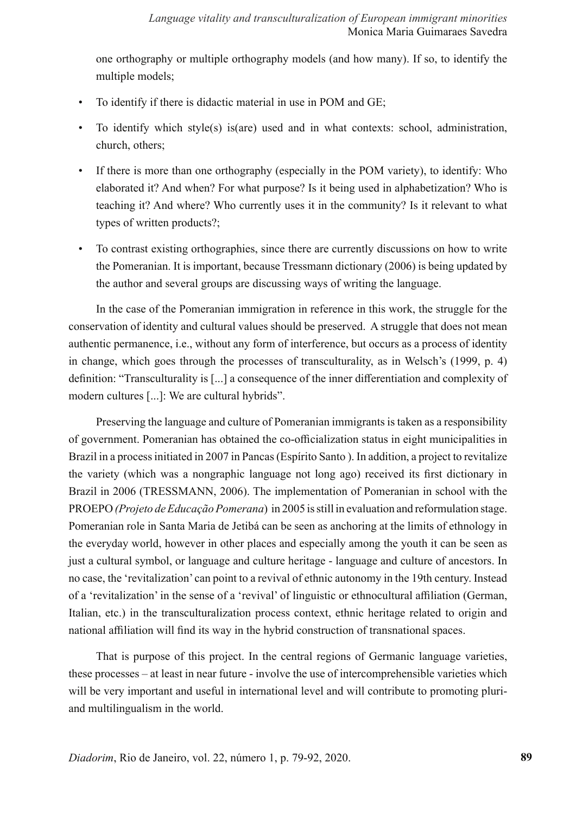one orthography or multiple orthography models (and how many). If so, to identify the multiple models;

- To identify if there is didactic material in use in POM and GE;
- To identify which style(s) is(are) used and in what contexts: school, administration, church, others;
- If there is more than one orthography (especially in the POM variety), to identify: Who elaborated it? And when? For what purpose? Is it being used in alphabetization? Who is teaching it? And where? Who currently uses it in the community? Is it relevant to what types of written products?;
- To contrast existing orthographies, since there are currently discussions on how to write the Pomeranian. It is important, because Tressmann dictionary (2006) is being updated by the author and several groups are discussing ways of writing the language.

In the case of the Pomeranian immigration in reference in this work, the struggle for the conservation of identity and cultural values should be preserved. A struggle that does not mean authentic permanence, i.e., without any form of interference, but occurs as a process of identity in change, which goes through the processes of transculturality, as in Welsch's (1999, p. 4) definition: "Transculturality is [...] a consequence of the inner differentiation and complexity of modern cultures [...]: We are cultural hybrids".

Preserving the language and culture of Pomeranian immigrants is taken as a responsibility of government. Pomeranian has obtained the co-officialization status in eight municipalities in Brazil in a process initiated in 2007 in Pancas (Espírito Santo ). In addition, a project to revitalize the variety (which was a nongraphic language not long ago) received its first dictionary in Brazil in 2006 (TRESSMANN, 2006). The implementation of Pomeranian in school with the PROEPO *(Projeto de Educação Pomerana*) in 2005 is still in evaluation and reformulation stage. Pomeranian role in Santa Maria de Jetibá can be seen as anchoring at the limits of ethnology in the everyday world, however in other places and especially among the youth it can be seen as just a cultural symbol, or language and culture heritage - language and culture of ancestors. In no case, the 'revitalization' can point to a revival of ethnic autonomy in the 19th century. Instead of a 'revitalization' in the sense of a 'revival' of linguistic or ethnocultural affiliation (German, Italian, etc.) in the transculturalization process context, ethnic heritage related to origin and national affiliation will find its way in the hybrid construction of transnational spaces.

That is purpose of this project. In the central regions of Germanic language varieties, these processes – at least in near future - involve the use of intercomprehensible varieties which will be very important and useful in international level and will contribute to promoting pluriand multilingualism in the world.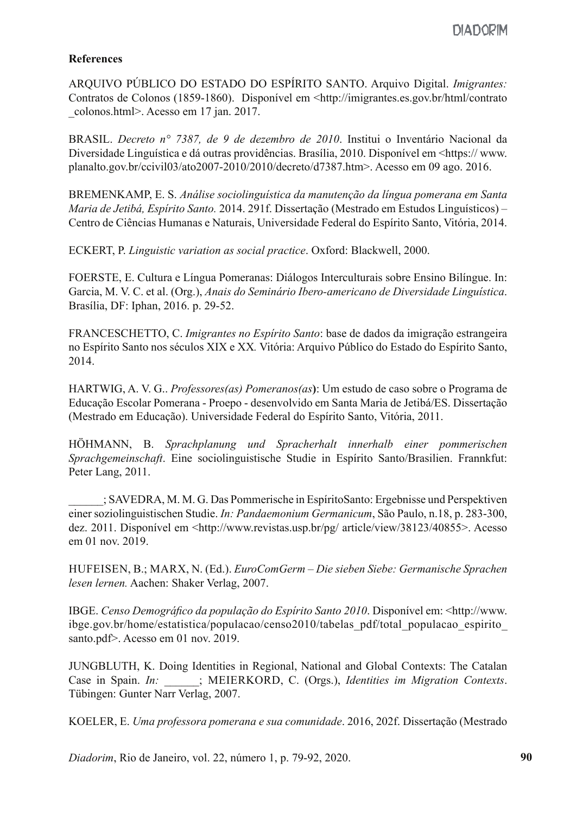### **References**

ARQUIVO PÚBLICO DO ESTADO DO ESPÍRITO SANTO. Arquivo Digital. *Imigrantes:* Contratos de Colonos (1859-1860). Disponível em <http://imigrantes.es.gov.br/html/contrato \_colonos.html>. Acesso em 17 jan. 2017.

BRASIL. *Decreto n° 7387, de 9 de dezembro de 2010*. Institui o Inventário Nacional da Diversidade Linguística e dá outras providências. Brasília, 2010. Disponível em <https:// www. planalto.gov.br/ccivil03/ato2007-2010/2010/decreto/d7387.htm>. Acesso em 09 ago. 2016.

BREMENKAMP, E. S. *Análise sociolinguística da manutenção da língua pomerana em Santa Maria de Jetibá, Espírito Santo.* 2014. 291f. Dissertação (Mestrado em Estudos Linguísticos) – Centro de Ciências Humanas e Naturais, Universidade Federal do Espírito Santo, Vitória, 2014.

ECKERT, P. *Linguistic variation as social practice*. Oxford: Blackwell, 2000.

FOERSTE, E. Cultura e Língua Pomeranas: Diálogos Interculturais sobre Ensino Bilíngue. In: Garcia, M. V. C. et al. (Org.), *Anais do Seminário Ibero-americano de Diversidade Linguística*. Brasília, DF: Iphan, 2016. p. 29-52.

FRANCESCHETTO, C. *Imigrantes no Espírito Santo*: base de dados da imigração estrangeira no Espírito Santo nos séculos XIX e XX*.* Vitória: Arquivo Público do Estado do Espírito Santo, 2014.

HARTWIG, A. V. G.. *Professores(as) Pomeranos(as***)**: Um estudo de caso sobre o Programa de Educação Escolar Pomerana - Proepo - desenvolvido em Santa Maria de Jetibá/ES. Dissertação (Mestrado em Educação). Universidade Federal do Espírito Santo, Vitória, 2011.

HÖHMANN, B. *Sprachplanung und Spracherhalt innerhalb einer pommerischen Sprachgemeinschaft*. Eine sociolinguistische Studie in Espírito Santo/Brasilien. Frannkfut: Peter Lang, 2011.

\_\_\_\_\_\_; SAVEDRA, M. M. G. Das Pommerische in EspíritoSanto: Ergebnisse und Perspektiven einer soziolinguistischen Studie. *In: Pandaemonium Germanicum*, São Paulo, n.18, p. 283-300, dez. 2011. Disponível em <http://www.revistas.usp.br/pg/ article/view/38123/40855>. Acesso em 01 nov. 2019.

HUFEISEN, B.; MARX, N. (Ed.). *EuroComGerm – Die sieben Siebe: Germanische Sprachen lesen lernen.* Aachen: Shaker Verlag, 2007.

IBGE. *Censo Demográfico da população do Espírito Santo 2010*. Disponível em: <http://www. ibge.gov.br/home/estatistica/populacao/censo2010/tabelas\_pdf/total\_populacao\_espirito\_ santo.pdf>. Acesso em 01 nov. 2019.

JUNGBLUTH, K. Doing Identities in Regional, National and Global Contexts: The Catalan Case in Spain. *In:*  $\vdots$  MEIERKORD, C. (Orgs.), *Identities im Migration Contexts*. Tübingen: Gunter Narr Verlag, 2007.

KOELER, E. *Uma professora pomerana e sua comunidade*. 2016, 202f. Dissertação (Mestrado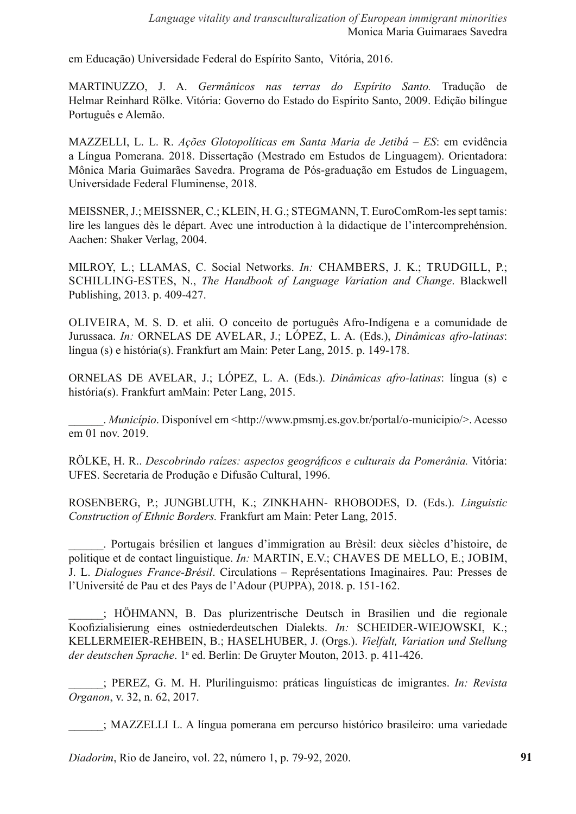em Educação) Universidade Federal do Espírito Santo, Vitória, 2016.

MARTINUZZO, J. A. *Germânicos nas terras do Espírito Santo.* Tradução de Helmar Reinhard Rölke. Vitória: Governo do Estado do Espírito Santo, 2009. Edição bilíngue Português e Alemão.

MAZZELLI, L. L. R. *Ações Glotopolíticas em Santa Maria de Jetibá – ES*: em evidência a Língua Pomerana. 2018. Dissertação (Mestrado em Estudos de Linguagem). Orientadora: Mônica Maria Guimarães Savedra. Programa de Pós-graduação em Estudos de Linguagem, Universidade Federal Fluminense, 2018.

MEISSNER, J.; MEISSNER, C.; KLEIN, H. G.; STEGMANN, T. EuroComRom-les sept tamis: lire les langues dès le départ. Avec une introduction à la didactique de l'intercomprehénsion. Aachen: Shaker Verlag, 2004.

MILROY, L.; LLAMAS, C. Social Networks. *In:* CHAMBERS, J. K.; TRUDGILL, P.; SCHILLING-ESTES, N., *The Handbook of Language Variation and Change*. Blackwell Publishing, 2013. p. 409-427.

OLIVEIRA, M. S. D. et alii. O conceito de português Afro-Indígena e a comunidade de Jurussaca. *In:* ORNELAS DE AVELAR, J.; LÓPEZ, L. A. (Eds.), *Dinâmicas afro-latinas*: língua (s) e história(s). Frankfurt am Main: Peter Lang, 2015. p. 149-178.

ORNELAS DE AVELAR, J.; LÓPEZ, L. A. (Eds.). *Dinâmicas afro-latinas*: língua (s) e história(s). Frankfurt amMain: Peter Lang, 2015.

\_\_\_\_\_\_. *Município*. Disponível em <http://www.pmsmj.es.gov.br/portal/o-municipio/>. Acesso em 01 nov. 2019.

RÖLKE, H. R.. *Descobrindo raízes: aspectos geográficos e culturais da Pomerânia.* Vitória: UFES. Secretaria de Produção e Difusão Cultural, 1996.

ROSENBERG, P.; JUNGBLUTH, K.; ZINKHAHN- RHOBODES, D. (Eds.). *Linguistic Construction of Ethnic Borders.* Frankfurt am Main: Peter Lang, 2015.

\_\_\_\_\_\_. Portugais brésilien et langues d'immigration au Brèsil: deux siècles d'histoire, de politique et de contact linguistique. *In:* MARTIN, E.V.; CHAVES DE MELLO, E.; JOBIM, J. L. *Dialogues France-Brésil*. Circulations – Représentations Imaginaires. Pau: Presses de l'Université de Pau et des Pays de l'Adour (PUPPA), 2018. p. 151-162.

\_\_\_\_\_\_; HÖHMANN, B. Das plurizentrische Deutsch in Brasilien und die regionale Koofizialisierung eines ostniederdeutschen Dialekts. *In:* SCHEIDER-WIEJOWSKI, K.; KELLERMEIER-REHBEIN, B.; HASELHUBER, J. (Orgs.). *Vielfalt, Variation und Stellung*  der deutschen Sprache. 1<sup>a</sup> ed. Berlin: De Gruyter Mouton, 2013. p. 411-426.

\_\_\_\_\_\_; PEREZ, G. M. H. Plurilinguismo: práticas linguísticas de imigrantes. *In: Revista Organon*, v. 32, n. 62, 2017.

\_\_\_\_\_\_; MAZZELLI L. A língua pomerana em percurso histórico brasileiro: uma variedade